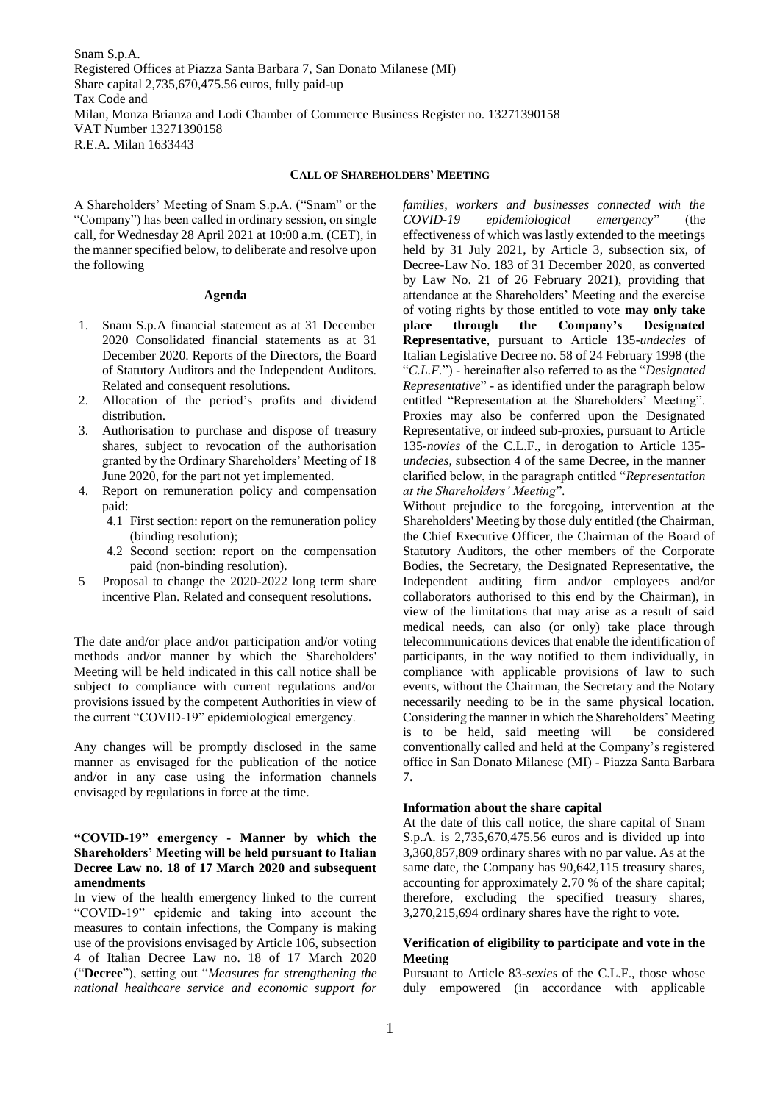Snam S.p.A. Registered Offices at Piazza Santa Barbara 7, San Donato Milanese (MI) Share capital 2,735,670,475.56 euros, fully paid-up Tax Code and Milan, Monza Brianza and Lodi Chamber of Commerce Business Register no. 13271390158 VAT Number 13271390158 R.E.A. Milan 1633443

#### **CALL OF SHAREHOLDERS' MEETING**

A Shareholders' Meeting of Snam S.p.A. ("Snam" or the "Company") has been called in ordinary session, on single call, for Wednesday 28 April 2021 at 10:00 a.m. (CET), in the manner specified below, to deliberate and resolve upon the following

### **Agenda**

- 1. Snam S.p.A financial statement as at 31 December 2020 Consolidated financial statements as at 31 December 2020. Reports of the Directors, the Board of Statutory Auditors and the Independent Auditors. Related and consequent resolutions.
- 2. Allocation of the period's profits and dividend distribution.
- 3. Authorisation to purchase and dispose of treasury shares, subject to revocation of the authorisation granted by the Ordinary Shareholders' Meeting of 18 June 2020, for the part not yet implemented.
- 4. Report on remuneration policy and compensation paid:
	- 4.1 First section: report on the remuneration policy (binding resolution);
	- 4.2 Second section: report on the compensation paid (non-binding resolution).
- 5 Proposal to change the 2020-2022 long term share incentive Plan. Related and consequent resolutions.

The date and/or place and/or participation and/or voting methods and/or manner by which the Shareholders' Meeting will be held indicated in this call notice shall be subject to compliance with current regulations and/or provisions issued by the competent Authorities in view of the current "COVID-19" epidemiological emergency.

Any changes will be promptly disclosed in the same manner as envisaged for the publication of the notice and/or in any case using the information channels envisaged by regulations in force at the time.

# **"COVID-19" emergency - Manner by which the Shareholders' Meeting will be held pursuant to Italian Decree Law no. 18 of 17 March 2020 and subsequent amendments**

In view of the health emergency linked to the current "COVID-19" epidemic and taking into account the measures to contain infections, the Company is making use of the provisions envisaged by Article 106, subsection 4 of Italian Decree Law no. 18 of 17 March 2020 ("**Decree**"), setting out "*Measures for strengthening the national healthcare service and economic support for*  *families, workers and businesses connected with the COVID-19 epidemiological emergency*" (the effectiveness of which was lastly extended to the meetings held by 31 July 2021, by Article 3, subsection six, of Decree-Law No. 183 of 31 December 2020, as converted by Law No. 21 of 26 February 2021), providing that attendance at the Shareholders' Meeting and the exercise of voting rights by those entitled to vote **may only take place through the Company's Designated Representative**, pursuant to Article 135-*undecies* of Italian Legislative Decree no. 58 of 24 February 1998 (the "*C.L.F.*") - hereinafter also referred to as the "*Designated Representative*" - as identified under the paragraph below entitled "Representation at the Shareholders' Meeting". Proxies may also be conferred upon the Designated Representative, or indeed sub-proxies, pursuant to Article 135-*novies* of the C.L.F., in derogation to Article 135 *undecies*, subsection 4 of the same Decree, in the manner clarified below, in the paragraph entitled "*Representation at the Shareholders' Meeting*".

Without prejudice to the foregoing, intervention at the Shareholders' Meeting by those duly entitled (the Chairman, the Chief Executive Officer, the Chairman of the Board of Statutory Auditors, the other members of the Corporate Bodies, the Secretary, the Designated Representative, the Independent auditing firm and/or employees and/or collaborators authorised to this end by the Chairman), in view of the limitations that may arise as a result of said medical needs, can also (or only) take place through telecommunications devices that enable the identification of participants, in the way notified to them individually, in compliance with applicable provisions of law to such events, without the Chairman, the Secretary and the Notary necessarily needing to be in the same physical location. Considering the manner in which the Shareholders' Meeting is to be held, said meeting will be considered conventionally called and held at the Company's registered office in San Donato Milanese (MI) - Piazza Santa Barbara 7.

#### **Information about the share capital**

At the date of this call notice, the share capital of Snam S.p.A. is 2,735,670,475.56 euros and is divided up into 3,360,857,809 ordinary shares with no par value. As at the same date, the Company has 90,642,115 treasury shares, accounting for approximately 2.70 % of the share capital; therefore, excluding the specified treasury shares, 3,270,215,694 ordinary shares have the right to vote.

### **Verification of eligibility to participate and vote in the Meeting**

Pursuant to Article 83-*sexies* of the C.L.F., those whose duly empowered (in accordance with applicable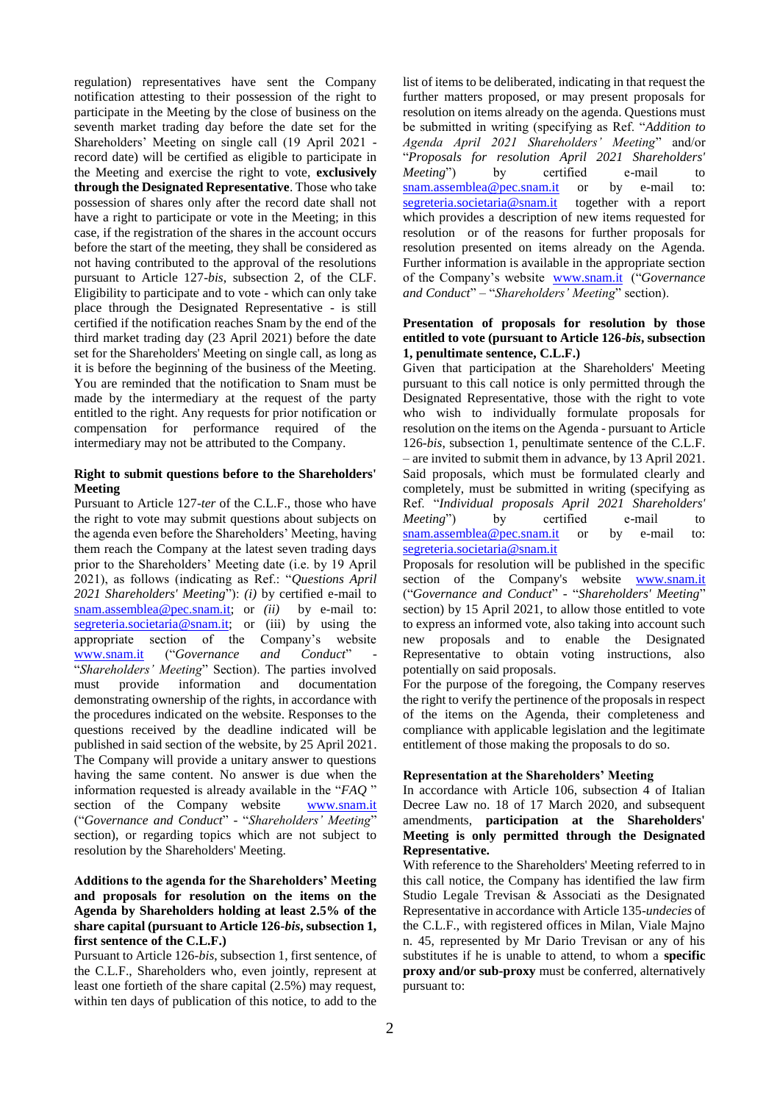regulation) representatives have sent the Company notification attesting to their possession of the right to participate in the Meeting by the close of business on the seventh market trading day before the date set for the Shareholders' Meeting on single call (19 April 2021 record date) will be certified as eligible to participate in the Meeting and exercise the right to vote, **exclusively through the Designated Representative**. Those who take possession of shares only after the record date shall not have a right to participate or vote in the Meeting; in this case, if the registration of the shares in the account occurs before the start of the meeting, they shall be considered as not having contributed to the approval of the resolutions pursuant to Article 127-*bis*, subsection 2, of the CLF. Eligibility to participate and to vote - which can only take place through the Designated Representative - is still certified if the notification reaches Snam by the end of the third market trading day (23 April 2021) before the date set for the Shareholders' Meeting on single call, as long as it is before the beginning of the business of the Meeting. You are reminded that the notification to Snam must be made by the intermediary at the request of the party entitled to the right. Any requests for prior notification or compensation for performance required of the intermediary may not be attributed to the Company.

#### **Right to submit questions before to the Shareholders' Meeting**

Pursuant to Article 127-*ter* of the C.L.F., those who have the right to vote may submit questions about subjects on the agenda even before the Shareholders' Meeting, having them reach the Company at the latest seven trading days prior to the Shareholders' Meeting date (i.e. by 19 April 2021), as follows (indicating as Ref.: "*Questions April 2021 Shareholders' Meeting*"): *(i)* by certified e-mail to [snam.assemblea@pec.snam.it;](mailto:snam.assemblea@pec.snam.it) or *(ii)* by e-mail to: [segreteria.societaria@snam.it;](mailto:segreteria.societaria@snam.it) or (iii) by using the appropriate section of the Company's website [www.snam.it](http://www.snam.it/) ("*Governance and Conduct*" "*Shareholders' Meeting*" Section). The parties involved must provide information and documentation demonstrating ownership of the rights, in accordance with the procedures indicated on the website. Responses to the questions received by the deadline indicated will be published in said section of the website, by 25 April 2021. The Company will provide a unitary answer to questions having the same content. No answer is due when the information requested is already available in the "*FAQ* " section of the Company website [www.snam.it](http://www.snam.it/) ("*Governance and Conduct*" - "*Shareholders' Meeting*" section), or regarding topics which are not subject to resolution by the Shareholders' Meeting.

# **Additions to the agenda for the Shareholders' Meeting and proposals for resolution on the items on the Agenda by Shareholders holding at least 2.5% of the share capital (pursuant to Article 126-***bis***, subsection 1, first sentence of the C.L.F.)**

Pursuant to Article 126*-bis*, subsection 1, first sentence, of the C.L.F., Shareholders who, even jointly, represent at least one fortieth of the share capital (2.5%) may request, within ten days of publication of this notice, to add to the

list of items to be deliberated, indicating in that request the further matters proposed, or may present proposals for resolution on items already on the agenda. Questions must be submitted in writing (specifying as Ref. "*Addition to Agenda April 2021 Shareholders' Meeting*" and/or "*Proposals for resolution April 2021 Shareholders' Meeting*") by certified e-mail to [snam.assemblea@pec.snam.it](mailto:snam.assemblea@pec.snam.it) or by e-mail to: [segreteria.societaria@snam.it](mailto:segreteria.societaria@snam.it) together with a report which provides a description of new items requested for resolution or of the reasons for further proposals for resolution presented on items already on the Agenda. Further information is available in the appropriate section of the Company's website [www.snam.it](http://www.snam.it/) ("*Governance and Conduct*" – "*Shareholders' Meeting*" section).

### **Presentation of proposals for resolution by those entitled to vote (pursuant to Article 126-***bis***, subsection 1, penultimate sentence, C.L.F.)**

Given that participation at the Shareholders' Meeting pursuant to this call notice is only permitted through the Designated Representative, those with the right to vote who wish to individually formulate proposals for resolution on the items on the Agenda - pursuant to Article 126-*bis*, subsection 1, penultimate sentence of the C.L.F. – are invited to submit them in advance, by 13 April 2021. Said proposals, which must be formulated clearly and completely, must be submitted in writing (specifying as Ref. "*Individual proposals April 2021 Shareholders' Meeting*") by certified e-mail to [snam.assemblea@pec.snam.it](mailto:snam.assemblea@pec.snam.it) or by e-mail to: [segreteria.societaria@snam.it](mailto:segreteria.societaria@snam.it) 

Proposals for resolution will be published in the specific section of the Company's website [www.snam.it](http://www.snam.it/) ("*Governance and Conduct*" - "*Shareholders' Meeting*" section) by 15 April 2021, to allow those entitled to vote to express an informed vote, also taking into account such new proposals and to enable the Designated Representative to obtain voting instructions, also potentially on said proposals.

For the purpose of the foregoing, the Company reserves the right to verify the pertinence of the proposals in respect of the items on the Agenda, their completeness and compliance with applicable legislation and the legitimate entitlement of those making the proposals to do so.

# **Representation at the Shareholders' Meeting**

In accordance with Article 106, subsection 4 of Italian Decree Law no. 18 of 17 March 2020, and subsequent amendments, **participation at the Shareholders' Meeting is only permitted through the Designated Representative.**

With reference to the Shareholders' Meeting referred to in this call notice, the Company has identified the law firm Studio Legale Trevisan & Associati as the Designated Representative in accordance with Article 135-*undecies* of the C.L.F., with registered offices in Milan, Viale Majno n. 45, represented by Mr Dario Trevisan or any of his substitutes if he is unable to attend, to whom a **specific proxy and/or sub-proxy** must be conferred, alternatively pursuant to: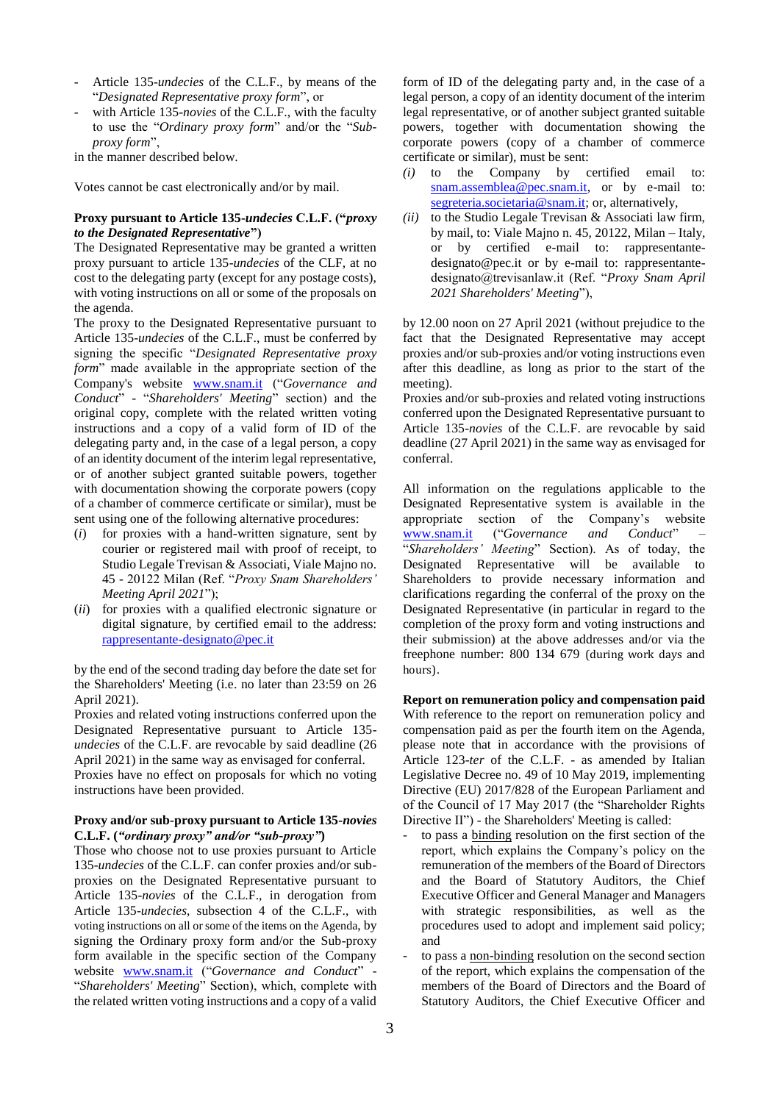- Article 135-*undecies* of the C.L.F., by means of the "*Designated Representative proxy form*", or
- with Article 135-novies of the C.L.F., with the faculty to use the "*Ordinary proxy form*" and/or the "*Subproxy form*",

in the manner described below.

Votes cannot be cast electronically and/or by mail.

### **Proxy pursuant to Article 135-***undecies* **C.L.F. ("***proxy to the Designated Representative***")**

The Designated Representative may be granted a written proxy pursuant to article 135*-undecies* of the CLF, at no cost to the delegating party (except for any postage costs), with voting instructions on all or some of the proposals on the agenda.

The proxy to the Designated Representative pursuant to Article 135-*undecies* of the C.L.F., must be conferred by signing the specific "*Designated Representative proxy form*" made available in the appropriate section of the Company's website [www.snam.it](http://www.snam.it/) ("*Governance and Conduct*" - "*Shareholders' Meeting*" section) and the original copy, complete with the related written voting instructions and a copy of a valid form of ID of the delegating party and, in the case of a legal person, a copy of an identity document of the interim legal representative, or of another subject granted suitable powers, together with documentation showing the corporate powers (copy of a chamber of commerce certificate or similar), must be sent using one of the following alternative procedures:

- (*i*) for proxies with a hand-written signature, sent by courier or registered mail with proof of receipt, to Studio Legale Trevisan & Associati, Viale Majno no. 45 - 20122 Milan (Ref. "*Proxy Snam Shareholders' Meeting April 2021*");
- (*ii*) for proxies with a qualified electronic signature or digital signature, by certified email to the address: [rappresentante-designato@pec.it](mailto:rappresentante-designato@pec.it)

by the end of the second trading day before the date set for the Shareholders' Meeting (i.e. no later than 23:59 on 26 April 2021).

Proxies and related voting instructions conferred upon the Designated Representative pursuant to Article 135 *undecies* of the C.L.F. are revocable by said deadline (26 April 2021) in the same way as envisaged for conferral.

Proxies have no effect on proposals for which no voting instructions have been provided.

#### **Proxy and/or sub-proxy pursuant to Article 135-***novies* **C.L.F. (***"ordinary proxy" and/or "sub-proxy"***)**

Those who choose not to use proxies pursuant to Article 135-*undecies* of the C.L.F. can confer proxies and/or subproxies on the Designated Representative pursuant to Article 135-*novies* of the C.L.F., in derogation from Article 135-*undecies*, subsection 4 of the C.L.F., with voting instructions on all or some of the items on the Agenda, by signing the Ordinary proxy form and/or the Sub-proxy form available in the specific section of the Company website [www.snam.it](http://www.snam.it/) ("*Governance and Conduct*" - "*Shareholders' Meeting*" Section), which, complete with the related written voting instructions and a copy of a valid

form of ID of the delegating party and, in the case of a legal person, a copy of an identity document of the interim legal representative, or of another subject granted suitable powers, together with documentation showing the corporate powers (copy of a chamber of commerce certificate or similar), must be sent:

- *(i)* to the Company by certified email to: [snam.assemblea@pec.snam.it,](mailto:snam.assemblea@pec.snam.it) or by e-mail to: [segreteria.societaria@snam.it;](mailto:segreteria.societaria@snam.it) or, alternatively,
- *(ii)* to the Studio Legale Trevisan & Associati law firm, by mail, to: Viale Majno n. 45, 20122, Milan – Italy, or by certified e-mail to: rappresentantedesignato@pec.it or by e-mail to: rappresentantedesignato@trevisanlaw.it (Ref. "*Proxy Snam April 2021 Shareholders' Meeting*"),

by 12.00 noon on 27 April 2021 (without prejudice to the fact that the Designated Representative may accept proxies and/or sub-proxies and/or voting instructions even after this deadline, as long as prior to the start of the meeting).

Proxies and/or sub-proxies and related voting instructions conferred upon the Designated Representative pursuant to Article 135-*novies* of the C.L.F. are revocable by said deadline (27 April 2021) in the same way as envisaged for conferral.

All information on the regulations applicable to the Designated Representative system is available in the appropriate section of the Company's website [www.snam.it](http://www.snam.it/) ("*Governance and Conduct*" – "*Shareholders' Meeting*" Section). As of today, the Designated Representative will be available to Shareholders to provide necessary information and clarifications regarding the conferral of the proxy on the Designated Representative (in particular in regard to the completion of the proxy form and voting instructions and their submission) at the above addresses and/or via the freephone number: 800 134 679 (during work days and hours).

# **Report on remuneration policy and compensation paid**  With reference to the report on remuneration policy and compensation paid as per the fourth item on the Agenda, please note that in accordance with the provisions of Article 123-*ter* of the C.L.F. - as amended by Italian Legislative Decree no. 49 of 10 May 2019, implementing Directive (EU) 2017/828 of the European Parliament and of the Council of 17 May 2017 (the "Shareholder Rights Directive II") - the Shareholders' Meeting is called:

- to pass a binding resolution on the first section of the report, which explains the Company's policy on the remuneration of the members of the Board of Directors and the Board of Statutory Auditors, the Chief Executive Officer and General Manager and Managers with strategic responsibilities, as well as the procedures used to adopt and implement said policy; and
- to pass a non-binding resolution on the second section of the report, which explains the compensation of the members of the Board of Directors and the Board of Statutory Auditors, the Chief Executive Officer and